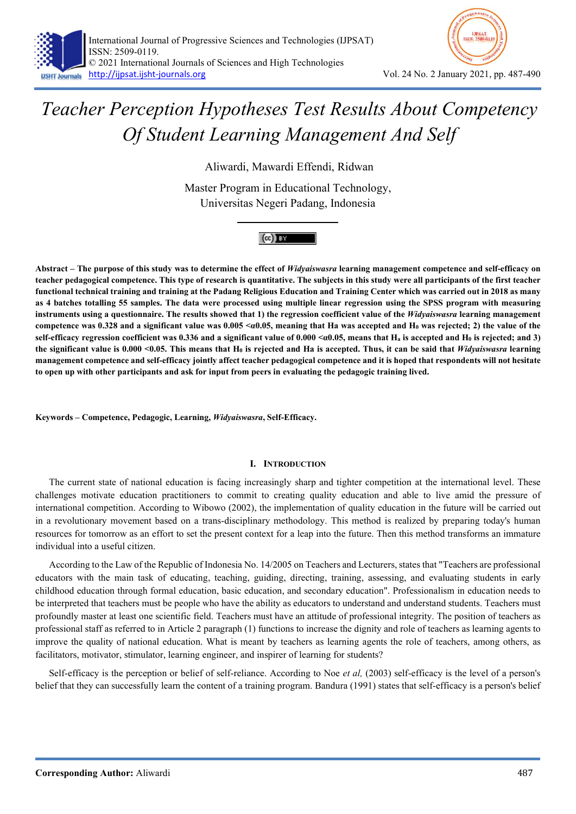

# Teacher Perception Hypotheses Test Results About Competency Of Student Learning Management And Self

Aliwardi, Mawardi Effendi, Ridwan

Master Program in Educational Technology, Universitas Negeri Padang, Indonesia



Abstract – The purpose of this study was to determine the effect of Widyaiswasra learning management competence and self-efficacy on teacher pedagogical competence. This type of research is quantitative. The subjects in this study were all participants of the first teacher functional technical training and training at the Padang Religious Education and Training Center which was carried out in 2018 as many as 4 batches totalling 55 samples. The data were processed using multiple linear regression using the SPSS program with measuring instruments using a questionnaire. The results showed that 1) the regression coefficient value of the Widyaiswasra learning management competence was 0.328 and a significant value was  $0.005 \le a0.05$ , meaning that Ha was accepted and H<sub>0</sub> was rejected; 2) the value of the self-efficacy regression coefficient was 0.336 and a significant value of  $0.000 < \alpha 0.05$ , means that H<sub>a</sub> is accepted and H<sub>0</sub> is rejected; and 3) the significant value is 0.000 < 0.05. This means that  $H_0$  is rejected and Ha is accepted. Thus, it can be said that *Widyaiswasra* learning management competence and self-efficacy jointly affect teacher pedagogical competence and it is hoped that respondents will not hesitate to open up with other participants and ask for input from peers in evaluating the pedagogic training lived.

Keywords – Competence, Pedagogic, Learning, Widyaiswasra, Self-Efficacy.

# I. INTRODUCTION

The current state of national education is facing increasingly sharp and tighter competition at the international level. These challenges motivate education practitioners to commit to creating quality education and able to live amid the pressure of international competition. According to Wibowo (2002), the implementation of quality education in the future will be carried out in a revolutionary movement based on a trans-disciplinary methodology. This method is realized by preparing today's human resources for tomorrow as an effort to set the present context for a leap into the future. Then this method transforms an immature individual into a useful citizen.

According to the Law of the Republic of Indonesia No. 14/2005 on Teachers and Lecturers, states that "Teachers are professional educators with the main task of educating, teaching, guiding, directing, training, assessing, and evaluating students in early childhood education through formal education, basic education, and secondary education". Professionalism in education needs to be interpreted that teachers must be people who have the ability as educators to understand and understand students. Teachers must profoundly master at least one scientific field. Teachers must have an attitude of professional integrity. The position of teachers as professional staff as referred to in Article 2 paragraph (1) functions to increase the dignity and role of teachers as learning agents to improve the quality of national education. What is meant by teachers as learning agents the role of teachers, among others, as facilitators, motivator, stimulator, learning engineer, and inspirer of learning for students?

Self-efficacy is the perception or belief of self-reliance. According to Noe et al. (2003) self-efficacy is the level of a person's belief that they can successfully learn the content of a training program. Bandura (1991) states that self-efficacy is a person's belief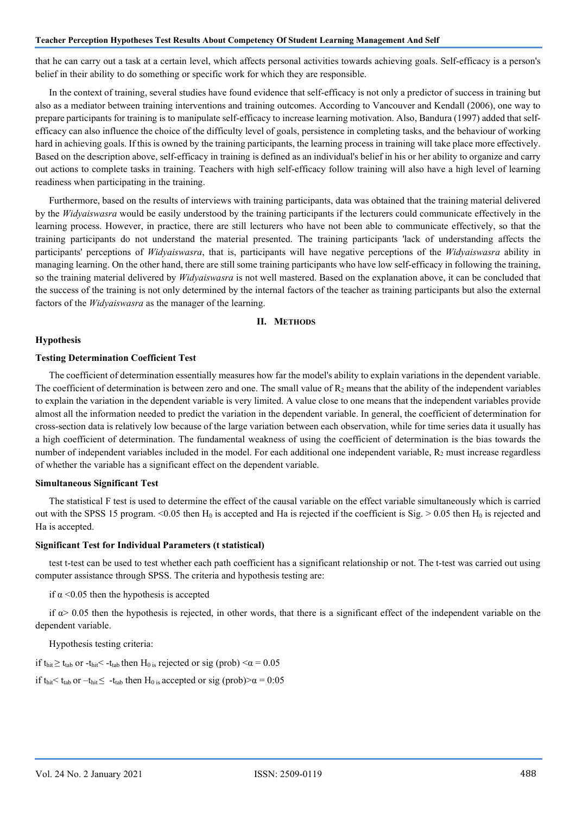#### Teacher Perception Hypotheses Test Results About Competency Of Student Learning Management And Self

that he can carry out a task at a certain level, which affects personal activities towards achieving goals. Self-efficacy is a person's belief in their ability to do something or specific work for which they are responsible.

In the context of training, several studies have found evidence that self-efficacy is not only a predictor of success in training but also as a mediator between training interventions and training outcomes. According to Vancouver and Kendall (2006), one way to prepare participants for training is to manipulate self-efficacy to increase learning motivation. Also, Bandura (1997) added that selfefficacy can also influence the choice of the difficulty level of goals, persistence in completing tasks, and the behaviour of working hard in achieving goals. If this is owned by the training participants, the learning process in training will take place more effectively. Based on the description above, self-efficacy in training is defined as an individual's belief in his or her ability to organize and carry out actions to complete tasks in training. Teachers with high self-efficacy follow training will also have a high level of learning readiness when participating in the training.

Furthermore, based on the results of interviews with training participants, data was obtained that the training material delivered by the Widyaiswasra would be easily understood by the training participants if the lecturers could communicate effectively in the learning process. However, in practice, there are still lecturers who have not been able to communicate effectively, so that the training participants do not understand the material presented. The training participants 'lack of understanding affects the participants' perceptions of Widvaiswasra, that is, participants will have negative perceptions of the Widvaiswasra ability in managing learning. On the other hand, there are still some training participants who have low self-efficacy in following the training, so the training material delivered by *Widyaiswasra* is not well mastered. Based on the explanation above, it can be concluded that the success of the training is not only determined by the internal factors of the teacher as training participants but also the external factors of the Widyaiswasra as the manager of the learning.

# II. METHODS

#### Hypothesis

## Testing Determination Coefficient Test

The coefficient of determination essentially measures how far the model's ability to explain variations in the dependent variable. The coefficient of determination is between zero and one. The small value of  $R<sub>2</sub>$  means that the ability of the independent variables to explain the variation in the dependent variable is very limited. A value close to one means that the independent variables provide almost all the information needed to predict the variation in the dependent variable. In general, the coefficient of determination for cross-section data is relatively low because of the large variation between each observation, while for time series data it usually has a high coefficient of determination. The fundamental weakness of using the coefficient of determination is the bias towards the number of independent variables included in the model. For each additional one independent variable,  $R_2$  must increase regardless of whether the variable has a significant effect on the dependent variable.

## Simultaneous Significant Test

The statistical F test is used to determine the effect of the causal variable on the effect variable simultaneously which is carried out with the SPSS 15 program. <0.05 then  $H_0$  is accepted and Ha is rejected if the coefficient is Sig. > 0.05 then  $H_0$  is rejected and Ha is accepted.

#### Significant Test for Individual Parameters (t statistical)

test t-test can be used to test whether each path coefficient has a significant relationship or not. The t-test was carried out using computer assistance through SPSS. The criteria and hypothesis testing are:

if  $\alpha$  <0.05 then the hypothesis is accepted

if  $\alpha$  > 0.05 then the hypothesis is rejected, in other words, that there is a significant effect of the independent variable on the dependent variable.

Hypothesis testing criteria:

if t<sub>hit</sub>  $\geq$  t<sub>tab</sub> or -t<sub>hit</sub> < -t<sub>tab</sub> then H<sub>0 is</sub> rejected or sig (prob) < $\alpha$  = 0.05

if t<sub>hit</sub>  $\lt t_{\text{tab}}$  or  $-t_{\text{hit}} \leq -t_{\text{tab}}$  then H<sub>0 is</sub> accepted or sig (prob)  $\alpha = 0.05$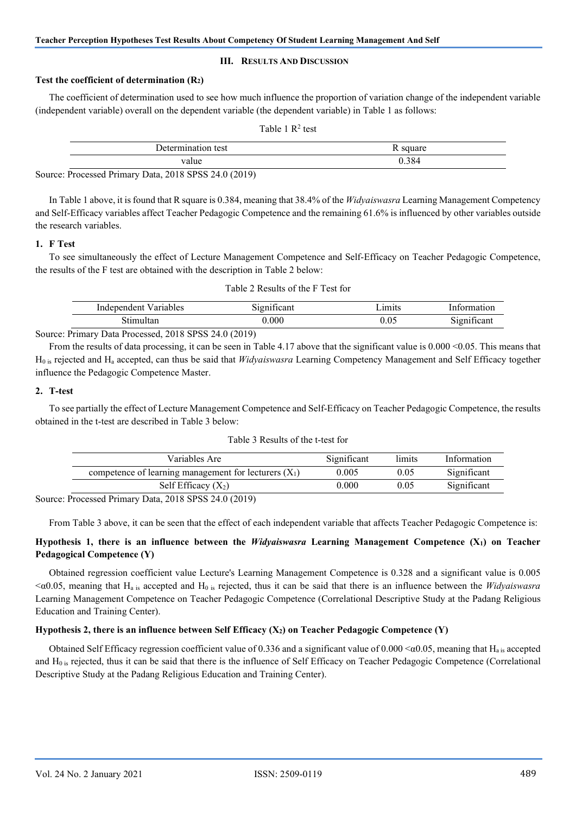### III. RESULTS AND DISCUSSION

### Test the coefficient of determination (R2)

The coefficient of determination used to see how much influence the proportion of variation change of the independent variable (independent variable) overall on the dependent variable (the dependent variable) in Table 1 as follows:

|--|

| test<br>$\sim$ mm $\sim$<br>10N | 00110A<br>uais |
|---------------------------------|----------------|
| value                           | 0.384          |

Source: Processed Primary Data, 2018 SPSS 24.0 (2019)

In Table 1 above, it is found that R square is 0.384, meaning that 38.4% of the Widyaiswasra Learning Management Competency and Self-Efficacy variables affect Teacher Pedagogic Competence and the remaining 61.6% is influenced by other variables outside the research variables.

### 1. F Test

To see simultaneously the effect of Lecture Management Competence and Self-Efficacy on Teacher Pedagogic Competence, the results of the F test are obtained with the description in Table 2 below:

| $\sqrt{arab}$<br>2.421<br>n | $-$  | $\cdots$ |          |
|-----------------------------|------|----------|----------|
|                             | .000 |          | . .<br>. |

Source: Primary Data Processed, 2018 SPSS 24.0 (2019)

From the results of data processing, it can be seen in Table 4.17 above that the significant value is 0.000 < 0.05. This means that  $H<sub>0</sub>$  is rejected and  $H<sub>a</sub>$  accepted, can thus be said that *Widyaiswasra* Learning Competency Management and Self Efficacy together influence the Pedagogic Competence Master.

## 2. T-test

To see partially the effect of Lecture Management Competence and Self-Efficacy on Teacher Pedagogic Competence, the results obtained in the t-test are described in Table 3 below:

| Table 3 Results of the t-test for |  |
|-----------------------------------|--|
|-----------------------------------|--|

| Variables Are                                           | Significant | limits | Information |
|---------------------------------------------------------|-------------|--------|-------------|
| competence of learning management for lecturers $(X_1)$ | 0.005       | 0.05   | Significant |
| Self Efficacy $(X_2)$                                   | $0.000\,$   | 0.05   | Significant |

Source: Processed Primary Data, 2018 SPSS 24.0 (2019)

From Table 3 above, it can be seen that the effect of each independent variable that affects Teacher Pedagogic Competence is:

# Hypothesis 1, there is an influence between the Widyaiswasra Learning Management Competence (X1) on Teacher Pedagogical Competence (Y)

Obtained regression coefficient value Lecture's Learning Management Competence is 0.328 and a significant value is 0.005  $\alpha$  =  $\alpha$ 0.05, meaning that H<sub>a is</sub> accepted and H<sub>0</sub> is rejected, thus it can be said that there is an influence between the *Widyaiswasra* Learning Management Competence on Teacher Pedagogic Competence (Correlational Descriptive Study at the Padang Religious Education and Training Center).

## Hypothesis 2, there is an influence between Self Efficacy  $(X_2)$  on Teacher Pedagogic Competence  $(Y)$

Obtained Self Efficacy regression coefficient value of 0.336 and a significant value of 0.000  $\alpha$ 0.05, meaning that H<sub>a is</sub> accepted and  $H_0$  is rejected, thus it can be said that there is the influence of Self Efficacy on Teacher Pedagogic Competence (Correlational Descriptive Study at the Padang Religious Education and Training Center).